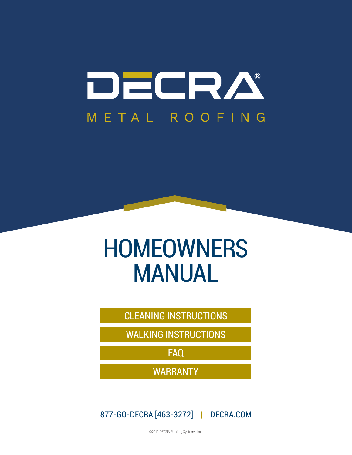

# **HOMEOWNERS** MANUAL

CLEANING INSTRUCTIONS

WALKING INSTRUCTIONS

FAQ

WARRANTY

877-GO-DECRA [463-3272] | DECRA.COM

©2019 DECRA Roofing Systems, Inc.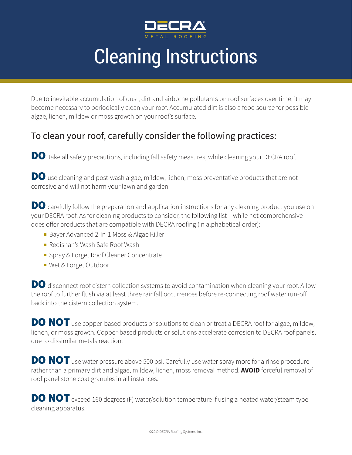

## Cleaning Instructions

Due to inevitable accumulation of dust, dirt and airborne pollutants on roof surfaces over time, it may become necessary to periodically clean your roof. Accumulated dirt is also a food source for possible algae, lichen, mildew or moss growth on your roof's surface.

### To clean your roof, carefully consider the following practices:

DO take all safety precautions, including fall safety measures, while cleaning your DECRA roof.

DO use cleaning and post-wash algae, mildew, lichen, moss preventative products that are not corrosive and will not harm your lawn and garden.

DO carefully follow the preparation and application instructions for any cleaning product you use on your DECRA roof. As for cleaning products to consider, the following list – while not comprehensive – does offer products that are compatible with DECRA roofing (in alphabetical order):

- Bayer Advanced 2-in-1 Moss & Algae Killer
- <sup>n</sup> Redishan's Wash Safe Roof Wash
- **n** Spray & Forget Roof Cleaner Concentrate
- <sup>n</sup> Wet & Forget Outdoor

DO disconnect roof cistern collection systems to avoid contamination when cleaning your roof. Allow the roof to further flush via at least three rainfall occurrences before re-connecting roof water run-off back into the cistern collection system.

DO NOT use copper-based products or solutions to clean or treat a DECRA roof for algae, mildew, lichen, or moss growth. Copper-based products or solutions accelerate corrosion to DECRA roof panels, due to dissimilar metals reaction.

DO NOT use water pressure above 500 psi. Carefully use water spray more for a rinse procedure rather than a primary dirt and algae, mildew, lichen, moss removal method. **AVOID** forceful removal of roof panel stone coat granules in all instances.

**DO NOT** exceed 160 degrees (F) water/solution temperature if using a heated water/steam type cleaning apparatus.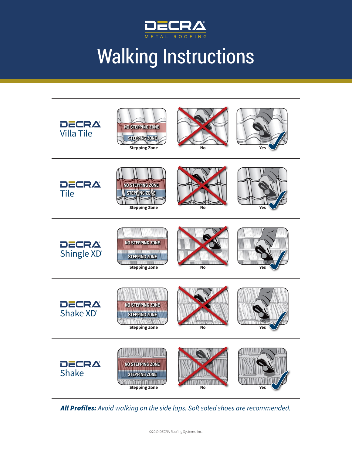

# Walking Instructions



*All Profiles: Avoid walking on the side laps. Soft soled shoes are recommended.*

©2019 DECRA Roofing Systems, Inc.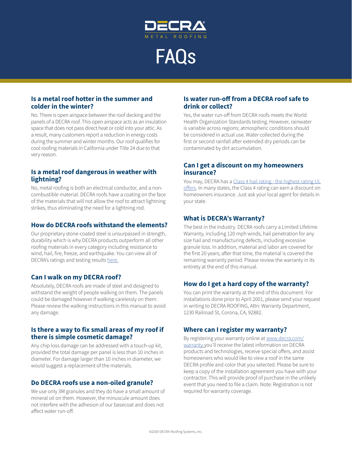

FAQs

#### **Is a metal roof hotter in the summer and colder in the winter?**

No. There is open airspace between the roof decking and the panels of a DECRA roof. This open airspace acts as an insulation space that does not pass direct heat or cold into your attic. As a result, many customers report a reduction in energy costs during the summer and winter months. Our roof qualifies for cool roofing materials in California under Title 24 due to that very reason.

#### **Is a metal roof dangerous in weather with lightning?**

No, metal roofing is both an electrical conductor, and a noncombustible material. DECRA roofs have a coating on the face of the materials that will not allow the roof to attract lightning strikes, thus eliminating the need for a lightning rod.

#### **How do DECRA roofs withstand the elements?**

Our proprietary stone-coated steel is unsurpassed in strength, durability which is why DECRA products outperform all other roofing materials in every category including resistance to wind, hail, fire, freeze, and earthquake. You can view all of DECRA's ratings and testing results here.

#### **Can I walk on my DECRA roof?**

Absolutely, DECRA roofs are made of steel and designed to withstand the weight of people walking on them. The panels could be damaged however if walking carelessly on them. Please review the walking instructions in this manual to avoid any damage.

#### **Is there a way to fix small areas of my roof if there is simple cosmetic damage?**

Any chip loss damage can be addressed with a touch-up kit, provided the total damage per panel is less than 10 inches in diameter. For damage larger than 10 inches in diameter, we would suggest a replacement of the materials.

#### **Do DECRA roofs use a non-oiled granule?**

We use only 3M granules and they do have a small amount of mineral oil on them. However, the minuscule amount does not interfere with the adhesion of our basecoat and does not affect water run-off.

#### **Is water run-off from a DECRA roof safe to drink or collect?**

Yes, the water run-off from DECRA roofs meets the World Health Organization Standards testing. However, rainwater is variable across regions; atmospheric conditions should be considered in actual use. Water collected during the first or second rainfall after extended dry periods can be contaminated by dirt accumulation.

#### **Can I get a discount on my homeowners insurance?**

You may, DECRA has a Class 4 hail rating - the highest rating UL offers. In many states, the Class 4 rating can earn a discount on homeowners insurance. Just ask your local agent for details in your state.

#### **What is DECRA's Warranty?**

The best in the industry. DECRA roofs carry a Limited Lifetime Warranty, including 120 mph winds, hail penetration for any size hail and manufacturing defects, including excessive granule loss. In addition, material and labor are covered for the first 20 years; after that time, the material is covered the remaining warranty period. Please review the warranty in its entirety at the end of this manual.

#### **How do I get a hard copy of the warranty?**

You can print the warranty at the end of this document. For installations done prior to April 2001, please send your request in writing to DECRA ROOFING, Attn: Warranty Department, 1230 Railroad St, Corona, CA, 92882.

#### **Where can I register my warranty?**

By registering your warranty online at www.decra.com/ warranty you'll receive the latest information on DECRA products and technologies, receive special offers, and assist homeowners who would like to view a roof in the same DECRA profile and color that you selected. Please be sure to keep a copy of the installation agreement you have with your contractor. This will provide proof of purchase in the unlikely event that you need to file a claim. Note: Registration is not required for warranty coverage.